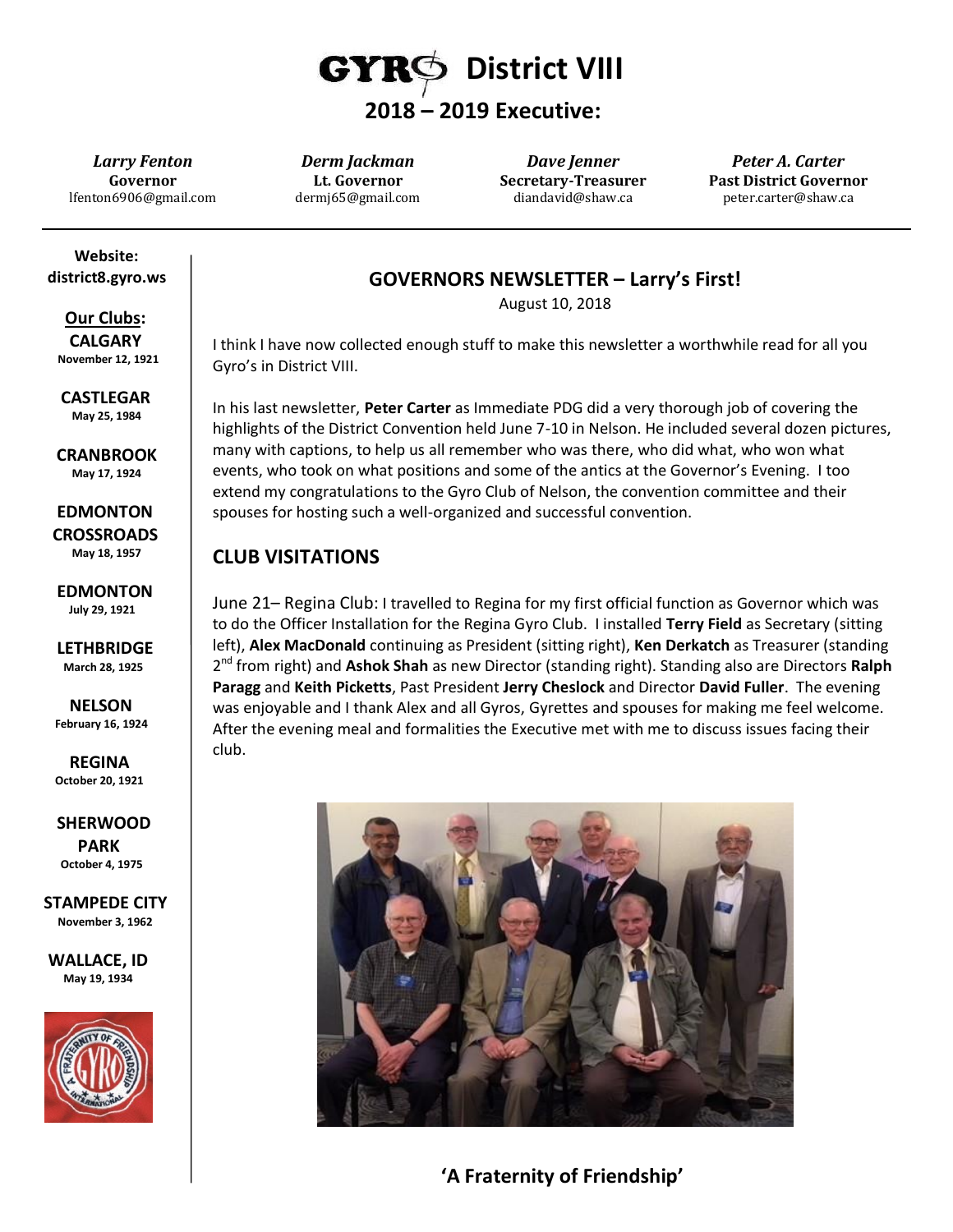

*Larry Fenton* **Governor** lfenton6906@gmail.com

*Derm Jackman* **Lt. Governor** dermj65@gmail.com

*Dave Jenner* **Secretary-Treasurer** diandavid@shaw.ca

*Peter A. Carter* **Past District Governor** peter.carter@shaw.ca

 **Website: district8.gyro.ws**

 **Our Clubs: CALGARY November 12, 1921**

 **CASTLEGAR May 25, 1984**

 **CRANBROOK May 17, 1924**

 **EDMONTON CROSSROADS May 18, 1957**

 **EDMONTON July 29, 1921**

 **LETHBRIDGE March 28, 1925**

 **NELSON February 16, 1924**

 **REGINA October 20, 1921**

 **SHERWOOD PARK October 4, 1975**

**STAMPEDE CITY November 3, 1962**

**WALLACE, ID May 19, 1934**



### **GOVERNORS NEWSLETTER – Larry's First!**

August 10, 2018

I think I have now collected enough stuff to make this newsletter a worthwhile read for all you Gyro's in District VIII.

In his last newsletter, **Peter Carter** as Immediate PDG did a very thorough job of covering the highlights of the District Convention held June 7-10 in Nelson. He included several dozen pictures, many with captions, to help us all remember who was there, who did what, who won what events, who took on what positions and some of the antics at the Governor's Evening. I too extend my congratulations to the Gyro Club of Nelson, the convention committee and their spouses for hosting such a well-organized and successful convention.

## **CLUB VISITATIONS**

June 21– Regina Club: I travelled to Regina for my first official function as Governor which was to do the Officer Installation for the Regina Gyro Club. I installed **Terry Field** as Secretary (sitting left), **Alex MacDonald** continuing as President (sitting right), **Ken Derkatch** as Treasurer (standing 2 nd from right) and **Ashok Shah** as new Director (standing right). Standing also are Directors **Ralph Paragg** and **Keith Picketts**, Past President **Jerry Cheslock** and Director **David Fuller**. The evening was enjoyable and I thank Alex and all Gyros, Gyrettes and spouses for making me feel welcome. After the evening meal and formalities the Executive met with me to discuss issues facing their club.



**'A Fraternity of Friendship'**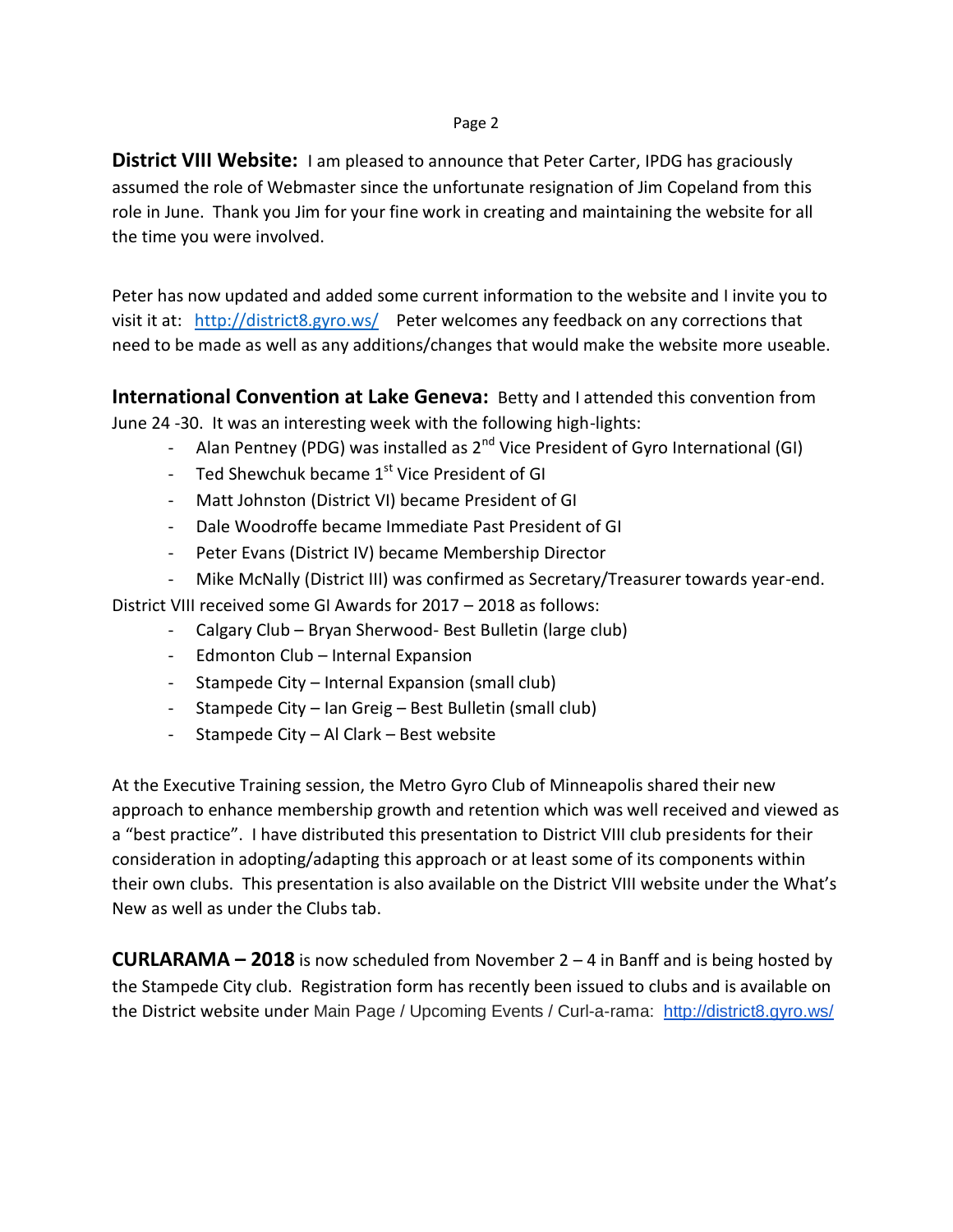#### Page 2

**District VIII Website:** I am pleased to announce that Peter Carter, IPDG has graciously assumed the role of Webmaster since the unfortunate resignation of Jim Copeland from this role in June. Thank you Jim for your fine work in creating and maintaining the website for all the time you were involved.

Peter has now updated and added some current information to the website and I invite you to visit it at: <http://district8.gyro.ws/>Peter welcomes any feedback on any corrections that need to be made as well as any additions/changes that would make the website more useable.

**International Convention at Lake Geneva:** Betty and I attended this convention from June 24 -30. It was an interesting week with the following high-lights:

- Alan Pentney (PDG) was installed as  $2^{nd}$  Vice President of Gyro International (GI)
- Ted Shewchuk became  $1<sup>st</sup>$  Vice President of GI
- Matt Johnston (District VI) became President of GI
- Dale Woodroffe became Immediate Past President of GI
- Peter Evans (District IV) became Membership Director
- Mike McNally (District III) was confirmed as Secretary/Treasurer towards year-end.

District VIII received some GI Awards for 2017 – 2018 as follows:

- Calgary Club Bryan Sherwood- Best Bulletin (large club)
- Edmonton Club Internal Expansion
- Stampede City Internal Expansion (small club)
- Stampede City Ian Greig Best Bulletin (small club)
- Stampede City Al Clark Best website

At the Executive Training session, the Metro Gyro Club of Minneapolis shared their new approach to enhance membership growth and retention which was well received and viewed as a "best practice". I have distributed this presentation to District VIII club presidents for their consideration in adopting/adapting this approach or at least some of its components within their own clubs. This presentation is also available on the District VIII website under the What's New as well as under the Clubs tab.

**CURLARAMA – 2018** is now scheduled from November 2 – 4 in Banff and is being hosted by the Stampede City club. Registration form has recently been issued to clubs and is available on the District website under Main Page / Upcoming Events / Curl-a-rama: <http://district8.gyro.ws/>